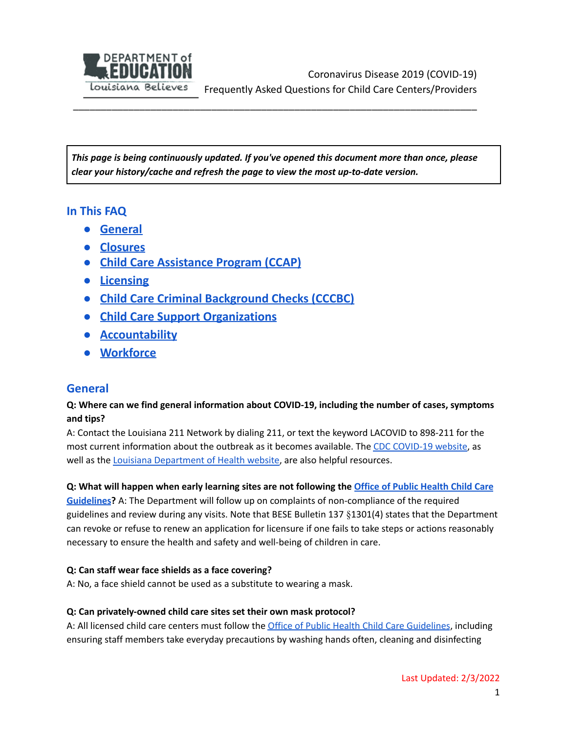

*This page is being continuously updated. If you've opened this document more than once, please clear your history/cache and refresh the page to view the most up-to-date version.*

\_\_\_\_\_\_\_\_\_\_\_\_\_\_\_\_\_\_\_\_\_\_\_\_\_\_\_\_\_\_\_\_\_\_\_\_\_\_\_\_\_\_\_\_\_\_\_\_\_\_\_\_\_\_\_\_\_\_\_\_\_\_\_\_\_\_\_\_\_\_\_\_\_

# **In This FAQ**

- **● [General](#page-0-0)**
- <span id="page-0-1"></span>**● [Closures](#page-0-1)**
- **● Child Care [Assistance](#page-3-0) Program (CCAP)**
- **● [Licensing](#page-6-0)**
- **● Child Care Criminal [Background](#page-7-0) Checks (CCCBC)**
- **● Child Care Support Organizations**
- **● [Accountability](#page-9-0)**
- **● Workforce**

# <span id="page-0-0"></span>**General**

# **Q: Where can we find general information about COVID-19, including the number of cases, symptoms and tips?**

A: Contact the Louisiana 211 Network by dialing 211, or text the keyword LACOVID to 898-211 for the most current information about the outbreak as it becomes available. The CDC [COVID-19](https://www.cdc.gov/) website, as well as the Louisiana [Department](http://ldh.la.gov/) of Health website, are also helpful resources.

### Q: What will happen when early learning sites are not following the Office of Public [Health](https://www.louisianabelieves.com/docs/default-source/covid-19-resources/office-of-public-health-guidelines-for-child-care.pdf?sfvrsn=19659b1f_8) Child Care

**[Guidelines](https://www.louisianabelieves.com/docs/default-source/covid-19-resources/office-of-public-health-guidelines-for-child-care.pdf?sfvrsn=19659b1f_8)?** A: The Department will follow up on complaints of non-compliance of the required guidelines and review during any visits. Note that BESE Bulletin 137 §1301(4) states that the Department can revoke or refuse to renew an application for licensure if one fails to take steps or actions reasonably necessary to ensure the health and safety and well-being of children in care.

### **Q: Can staff wear face shields as a face covering?**

A: No, a face shield cannot be used as a substitute to wearing a mask.

#### **Q: Can privately-owned child care sites set their own mask protocol?**

A: All licensed child care centers must follow the Office of Public Health Child Care [Guidelines](https://www.louisianabelieves.com/docs/default-source/covid-19-resources/office-of-public-health-guidelines-for-child-care.pdf?sfvrsn=19659b1f_8), including ensuring staff members take everyday precautions by washing hands often, cleaning and disinfecting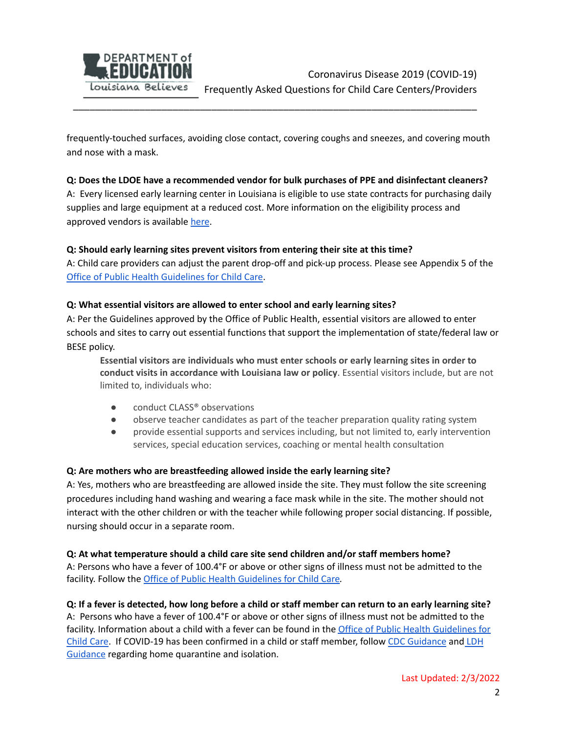

frequently-touched surfaces, avoiding close contact, covering coughs and sneezes, and covering mouth and nose with a mask.

\_\_\_\_\_\_\_\_\_\_\_\_\_\_\_\_\_\_\_\_\_\_\_\_\_\_\_\_\_\_\_\_\_\_\_\_\_\_\_\_\_\_\_\_\_\_\_\_\_\_\_\_\_\_\_\_\_\_\_\_\_\_\_\_\_\_\_\_\_\_\_\_\_

#### **Q: Does the LDOE have a recommended vendor for bulk purchases of PPE and disinfectant cleaners?**

A: Every licensed early learning center in Louisiana is eligible to use state contracts for purchasing daily supplies and large equipment at a reduced cost. More information on the eligibility process and approved vendors is available [here](https://www.louisianabelieves.com/early-childhood/saving-money-through-state-contracts).

#### **Q: Should early learning sites prevent visitors from entering their site at this time?**

A: Child care providers can adjust the parent drop-off and pick-up process. Please see Appendix 5 of the Office of Public Health [Guidelines](https://www.louisianabelieves.com/docs/default-source/covid-19-resources/child-care-covid-19-guidelines.pdf) for Child Care.

#### **Q: What essential visitors are allowed to enter school and early learning sites?**

A: Per the Guidelines approved by the Office of Public Health, essential visitors are allowed to enter schools and sites to carry out essential functions that support the implementation of state/federal law or BESE policy.

**Essential visitors are individuals who must enter schools or early learning sites in order to conduct visits in accordance with Louisiana law or policy**. Essential visitors include, but are not limited to, individuals who:

- conduct CLASS<sup>®</sup> observations
- observe teacher candidates as part of the teacher preparation quality rating system
- provide essential supports and services including, but not limited to, early intervention services, special education services, coaching or mental health consultation

#### **Q: Are mothers who are breastfeeding allowed inside the early learning site?**

A: Yes, mothers who are breastfeeding are allowed inside the site. They must follow the site screening procedures including hand washing and wearing a face mask while in the site. The mother should not interact with the other children or with the teacher while following proper social distancing. If possible, nursing should occur in a separate room.

#### **Q: At what temperature should a child care site send children and/or staff members home?**

A: Persons who have a fever of 100.4°F or above or other signs of illness must not be admitted to the facility. Follow the Office of Public Health [Guidelines](https://www.louisianabelieves.com/docs/default-source/covid-19-resources/child-care-covid-19-guidelines.pdf) for Child Care*.*

#### Q: If a fever is detected, how long before a child or staff member can return to an early learning site?

A: Persons who have a fever of 100.4°F or above or other signs of illness must not be admitted to the facility. Information about a child with a fever can be found in the Office of Public Health [Guidelines](https://www.louisianabelieves.com/docs/default-source/covid-19-resources/child-care-covid-19-guidelines.pdf) for Child [Care.](https://www.louisianabelieves.com/docs/default-source/covid-19-resources/child-care-covid-19-guidelines.pdf) If COVID-19 has been confirmed in a child or staff member, follow CDC [Guidance](https://www.cdc.gov/coronavirus/2019-ncov/if-you-are-sick/steps-when-sick.html) and [LDH](http://ldh.la.gov/assets/oph/Coronavirus/resources/TestingIsolationGuidelines.pdf) G[uidance](http://ldh.la.gov/assets/oph/Coronavirus/resources/TestingIsolationGuidelines.pdf) regarding home quarantine and isolation.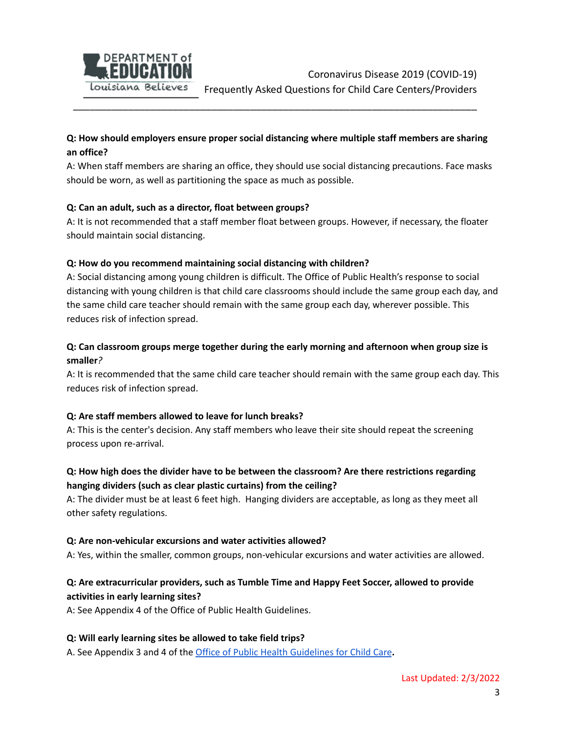

# **Q: How should employers ensure proper social distancing where multiple staff members are sharing an office?**

\_\_\_\_\_\_\_\_\_\_\_\_\_\_\_\_\_\_\_\_\_\_\_\_\_\_\_\_\_\_\_\_\_\_\_\_\_\_\_\_\_\_\_\_\_\_\_\_\_\_\_\_\_\_\_\_\_\_\_\_\_\_\_\_\_\_\_\_\_\_\_\_\_

A: When staff members are sharing an office, they should use social distancing precautions. Face masks should be worn, as well as partitioning the space as much as possible.

#### **Q: Can an adult, such as a director, float between groups?**

A: It is not recommended that a staff member float between groups. However, if necessary, the floater should maintain social distancing.

#### **Q: How do you recommend maintaining social distancing with children?**

A: Social distancing among young children is difficult. The Office of Public Health's response to social distancing with young children is that child care classrooms should include the same group each day, and the same child care teacher should remain with the same group each day, wherever possible. This reduces risk of infection spread.

# **Q: Can classroom groups merge together during the early morning and afternoon when group size is smaller***?*

A: It is recommended that the same child care teacher should remain with the same group each day. This reduces risk of infection spread.

### **Q: Are staff members allowed to leave for lunch breaks?**

A: This is the center's decision. Any staff members who leave their site should repeat the screening process upon re-arrival.

# **Q: How high does the divider have to be between the classroom? Are there restrictions regarding hanging dividers (such as clear plastic curtains) from the ceiling?**

A: The divider must be at least 6 feet high. Hanging dividers are acceptable, as long as they meet all other safety regulations.

#### **Q: Are non-vehicular excursions and water activities allowed?**

A: Yes, within the smaller, common groups, non-vehicular excursions and water activities are allowed.

# **Q: Are extracurricular providers, such as Tumble Time and Happy Feet Soccer, allowed to provide activities in early learning sites?**

A: See Appendix 4 of the Office of Public Health Guidelines.

#### **Q: Will early learning sites be allowed to take field trips?**

A. See Appendix 3 and 4 of the Office of Public Health [Guidelines](https://www.louisianabelieves.com/docs/default-source/covid-19-resources/child-care-covid-19-guidelines.pdf) for Child Care**.**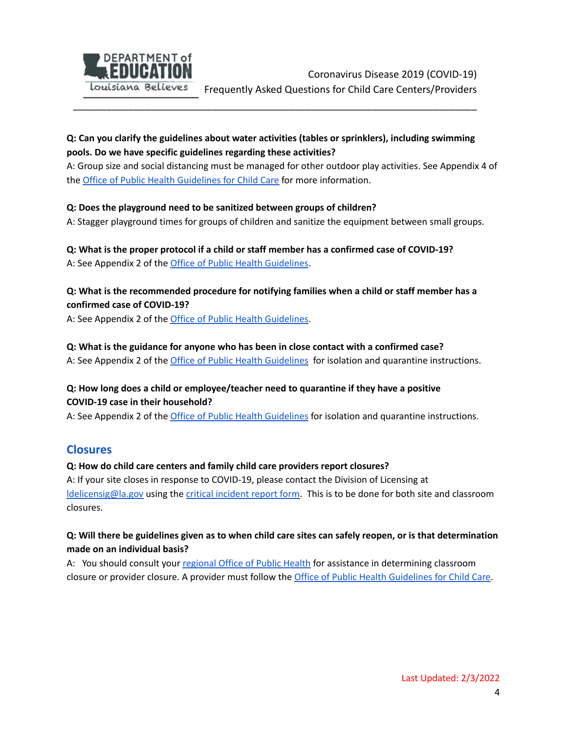

# **Q: Can you clarify the guidelines about water activities (tables or sprinklers), including swimming pools. Do we have specific guidelines regarding these activities?**

\_\_\_\_\_\_\_\_\_\_\_\_\_\_\_\_\_\_\_\_\_\_\_\_\_\_\_\_\_\_\_\_\_\_\_\_\_\_\_\_\_\_\_\_\_\_\_\_\_\_\_\_\_\_\_\_\_\_\_\_\_\_\_\_\_\_\_\_\_\_\_\_\_

A: Group size and social distancing must be managed for other outdoor play activities. See Appendix 4 of the Office of Public Health [Guidelines](https://www.louisianabelieves.com/docs/default-source/covid-19-resources/child-care-covid-19-guidelines.pdf) for Child Care for more information.

#### **Q: Does the playground need to be sanitized between groups of children?**

A: Stagger playground times for groups of children and sanitize the equipment between small groups.

# **Q: What is the proper protocol if a child or staff member has a confirmed case of COVID-19?**

A: See Appendix 2 of the Office of Public Health [Guidelines](https://www.louisianabelieves.com/docs/default-source/covid-19-resources/office-of-public-health-guidelines-for-child-care.pdf?sfvrsn=19659b1f_32).

# **Q: What is the recommended procedure for notifying families when a child or staff member has a confirmed case of COVID-19?**

A: See Appendix 2 of the Office of Public Health [Guidelines](https://www.louisianabelieves.com/docs/default-source/covid-19-resources/office-of-public-health-guidelines-for-child-care.pdf?sfvrsn=19659b1f_32).

#### **Q: What is the guidance for anyone who has been in close contact with a confirmed case?**

A: See Appendix 2 of the *Office of Public Health [Guidelines](https://www.louisianabelieves.com/docs/default-source/covid-19-resources/office-of-public-health-guidelines-for-child-care.pdf?sfvrsn=19659b1f_32)* for isolation and quarantine instructions.

# **Q: How long does a child or employee/teacher need to quarantine if they have a positive COVID-19 case in their household?**

A: See Appendix 2 of the *Office of Public Health [Guidelines](https://www.louisianabelieves.com/docs/default-source/covid-19-resources/office-of-public-health-guidelines-for-child-care.pdf?sfvrsn=19659b1f_32)* for isolation and quarantine instructions.

# **Closures**

### **Q: How do child care centers and family child care providers report closures?**

A: If your site closes in response to COVID-19, please contact the Division of Licensing at [ldelicensig@la.gov](mailto:ldelicensig@la.gov) using the critical [incident](https://www.louisianabelieves.com/docs/default-source/early-childhood/1103-critical-reportable-incident.pdf?sfvrsn=24) report form. This is to be done for both site and classroom closures.

# Q: Will there be guidelines given as to when child care sites can safely reopen, or is that determination **made on an individual basis?**

<span id="page-3-0"></span>A: You should consult your [regional](https://ldh.la.gov/index.cfm/directory/category/13) Office of Public Health for assistance in determining classroom closure or provider closure. A provider must follow the Office of Public Health [Guidelines](https://www.louisianabelieves.com/docs/default-source/covid-19-resources/child-care-covid-19-guidelines.pdf) for Child Care.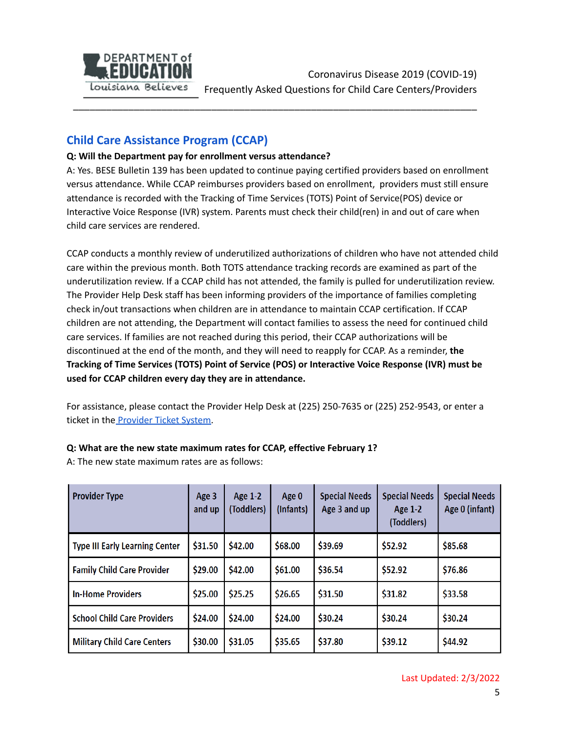

# **Child Care Assistance Program (CCAP)**

### **Q: Will the Department pay for enrollment versus attendance?**

A: Yes. BESE Bulletin 139 has been updated to continue paying certified providers based on enrollment versus attendance. While CCAP reimburses providers based on enrollment, providers must still ensure attendance is recorded with the Tracking of Time Services (TOTS) Point of Service(POS) device or Interactive Voice Response (IVR) system. Parents must check their child(ren) in and out of care when child care services are rendered.

\_\_\_\_\_\_\_\_\_\_\_\_\_\_\_\_\_\_\_\_\_\_\_\_\_\_\_\_\_\_\_\_\_\_\_\_\_\_\_\_\_\_\_\_\_\_\_\_\_\_\_\_\_\_\_\_\_\_\_\_\_\_\_\_\_\_\_\_\_\_\_\_\_

CCAP conducts a monthly review of underutilized authorizations of children who have not attended child care within the previous month. Both TOTS attendance tracking records are examined as part of the underutilization review. If a CCAP child has not attended, the family is pulled for underutilization review. The Provider Help Desk staff has been informing providers of the importance of families completing check in/out transactions when children are in attendance to maintain CCAP certification. If CCAP children are not attending, the Department will contact families to assess the need for continued child care services. If families are not reached during this period, their CCAP authorizations will be discontinued at the end of the month, and they will need to reapply for CCAP. As a reminder, **the Tracking of Time Services (TOTS) Point of Service (POS) or Interactive Voice Response (IVR) must be used for CCAP children every day they are in attendance.**

For assistance, please contact the Provider Help Desk at (225) 250-7635 or (225) 252-9543, or enter a ticket in the [Provider](https://provider.supportsystem.com) Ticket System.

### **Q: What are the new state maximum rates for CCAP, effective February 1?**

A: The new state maximum rates are as follows:

| <b>Provider Type</b>                  | Age 3<br>and up | Age 1-2<br>(Toddlers) | Age 0<br>(Infants) | <b>Special Needs</b><br>Age 3 and up | <b>Special Needs</b><br><b>Age 1-2</b><br>(Toddlers) | <b>Special Needs</b><br>Age 0 (infant) |
|---------------------------------------|-----------------|-----------------------|--------------------|--------------------------------------|------------------------------------------------------|----------------------------------------|
| <b>Type III Early Learning Center</b> | \$31.50         | \$42.00               | \$68.00            | \$39.69                              | \$52.92                                              | \$85.68                                |
| <b>Family Child Care Provider</b>     | \$29.00         | \$42.00               | \$61.00            | \$36.54                              | \$52.92                                              | \$76.86                                |
| <b>In-Home Providers</b>              | \$25.00         | \$25.25               | \$26.65            | \$31.50                              | \$31.82                                              | \$33.58                                |
| <b>School Child Care Providers</b>    | \$24.00         | \$24.00               | \$24.00            | \$30.24                              | \$30.24                                              | \$30.24                                |
| <b>Military Child Care Centers</b>    | \$30.00         | \$31.05               | \$35.65            | \$37.80                              | \$39.12                                              | \$44.92                                |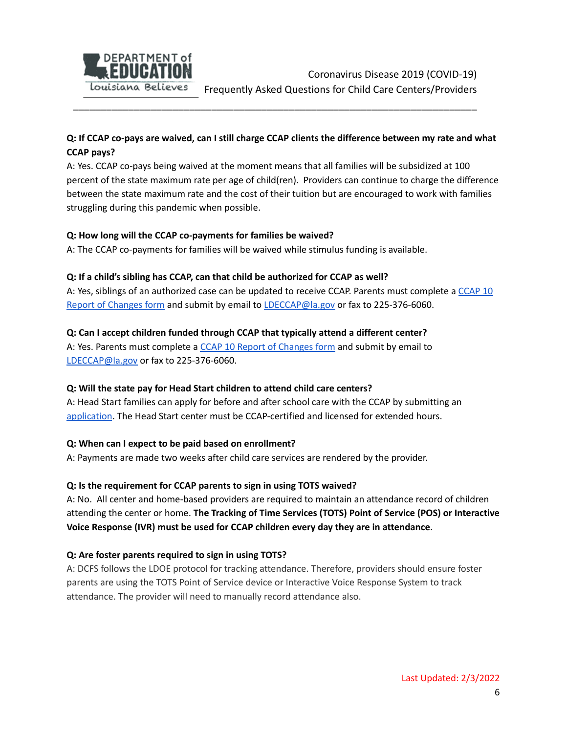

# Q: If CCAP co-pays are waived, can I still charge CCAP clients the difference between my rate and what **CCAP pays?**

\_\_\_\_\_\_\_\_\_\_\_\_\_\_\_\_\_\_\_\_\_\_\_\_\_\_\_\_\_\_\_\_\_\_\_\_\_\_\_\_\_\_\_\_\_\_\_\_\_\_\_\_\_\_\_\_\_\_\_\_\_\_\_\_\_\_\_\_\_\_\_\_\_

A: Yes. CCAP co-pays being waived at the moment means that all families will be subsidized at 100 percent of the state maximum rate per age of child(ren). Providers can continue to charge the difference between the state maximum rate and the cost of their tuition but are encouraged to work with families struggling during this pandemic when possible.

#### **Q: How long will the CCAP co-payments for families be waived?**

A: The CCAP co-payments for families will be waived while stimulus funding is available.

#### **Q: If a child's sibling has CCAP, can that child be authorized for CCAP as well?**

A: Yes, siblings of an authorized case can be updated to receive CCAP. Parents must complete a [CCAP](https://www.louisianabelieves.com/docs/default-source/child-care-providers/child-care-assistance-report-of-changes.pdf?sfvrsn=41748e1f_40) 10 Report of [Changes](https://www.louisianabelieves.com/docs/default-source/child-care-providers/child-care-assistance-report-of-changes.pdf?sfvrsn=41748e1f_40) form and submit by email to [LDECCAP@la.gov](mailto:LDECCAP@la.gov) or fax to 225-376-6060.

#### **Q: Can I accept children funded through CCAP that typically attend a different center?**

A: Yes. Parents must complete a CCAP 10 Report of [Changes](https://www.louisianabelieves.com/docs/default-source/child-care-providers/child-care-assistance-report-of-changes.pdf?sfvrsn=41748e1f_40) form and submit by email to [LDECCAP@la.gov](mailto:LDECCAP@la.gov) or fax to 225-376-6060.

#### **Q: Will the state pay for Head Start children to attend child care centers?**

A: Head Start families can apply for before and after school care with the CCAP by submitting an [application](https://www.louisianabelieves.com/docs/default-source/child-care-providers/child-care-assistance-program-(ccap)-pandemic-protective-services-crisis-application.pdf?sfvrsn=21e09b1f_8). The Head Start center must be CCAP-certified and licensed for extended hours.

#### **Q: When can I expect to be paid based on enrollment?**

A: Payments are made two weeks after child care services are rendered by the provider.

### **Q: Is the requirement for CCAP parents to sign in using TOTS waived?**

A: No. All center and home-based providers are required to maintain an attendance record of children attending the center or home. **The Tracking of Time Services (TOTS) Point of Service (POS) or Interactive Voice Response (IVR) must be used for CCAP children every day they are in attendance**.

### **Q: Are foster parents required to sign in using TOTS?**

A: DCFS follows the LDOE protocol for tracking attendance. Therefore, providers should ensure foster parents are using the TOTS Point of Service device or Interactive Voice Response System to track attendance. The provider will need to manually record attendance also.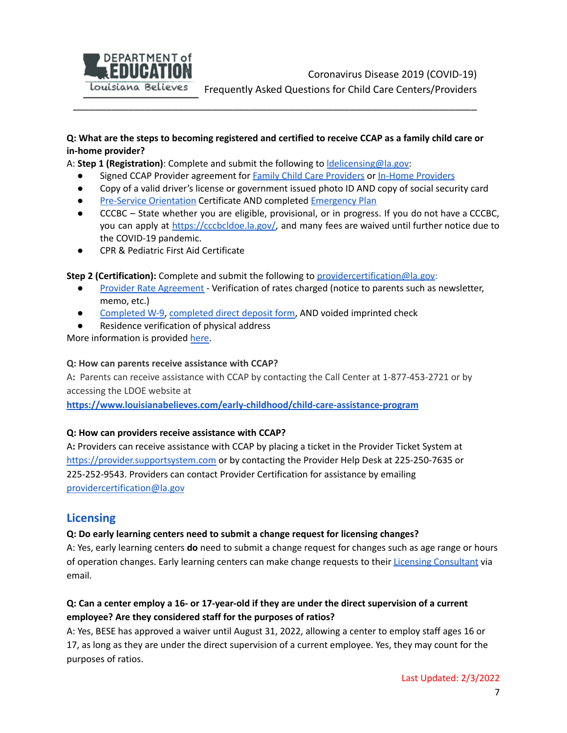

Coronavirus Disease 2019 (COVID-19) Frequently Asked Questions for Child Care Centers/Providers

### Q: What are the steps to becoming registered and certified to receive CCAP as a family child care or **in-home provider?**

\_\_\_\_\_\_\_\_\_\_\_\_\_\_\_\_\_\_\_\_\_\_\_\_\_\_\_\_\_\_\_\_\_\_\_\_\_\_\_\_\_\_\_\_\_\_\_\_\_\_\_\_\_\_\_\_\_\_\_\_\_\_\_\_\_\_\_\_\_\_\_\_\_

A: **Step 1 (Registration)**: Complete and submit the following to [ldelicensing@la.gov:](mailto:ldelicensing@la.gov)

- Signed CCAP Provider agreement for Family Child Care [Providers](https://louisianabelieves.com/docs/default-source/child-care-providers/in-home-provider-agreement.pdf?sfvrsn=9460901f_5) or In-Home Providers
- Copy of a valid driver's license or government issued photo ID AND copy of social security card
- **Pre-Service [Orientation](https://www.udemy.com/course/ccap-pre-service-orientation/) Certificate AND completed [Emergency](https://www.louisianabelieves.com/docs/default-source/child-care-providers/family-home-and-in-home-child-care-emergency-checklist.pdf?sfvrsn=2) Plan**
- **●** CCCBC State whether you are eligible, provisional, or in progress. If you do not have a CCCBC, you can apply at [https://cccbcldoe.la.gov/,](https://cccbcldoe.la.gov/) and many fees are waived until further notice due to the COVID-19 pandemic.
- **●** CPR & Pediatric First Aid Certificate

**Step 2 (Certification):** Complete and submit the following to [providercertification@la.gov:](mailto:providercertification@la.gov)

- Provider Rate [Agreement](https://louisianabelieves.com/docs/default-source/child-care-providers/provider-rate-agreement---ccap-15r.pdf?sfvrsn=2985811f_16) Verification of rates charged (notice to parents such as newsletter, memo, etc.)
- [Completed](https://louisianabelieves.com/docs/default-source/child-care-providers/w-9-form.pdf?sfvrsn=2d85811f_6) W-9, [completed](https://louisianabelieves.com/docs/default-source/child-care-providers/direct-deposit-authorization-form---ofs-dd-2.pdf?sfvrsn=2f85811f_14) direct deposit form, AND voided imprinted check
- **●** Residence verification of physical address

More information is provided [here.](https://www.louisianabelieves.com/docs/default-source/louisiana-believes/covid19-respite-care-opportunity-in-home-and-family-child-care.pdf?sfvrsn=52e39b1f_2)

#### **Q: How can parents receive assistance with CCAP?**

A**:** Parents can receive assistance with CCAP by contacting the Call Center at 1-877-453-2721 or by accessing the LDOE website at

**<https://www.louisianabelieves.com/early-childhood/child-care-assistance-program>**

#### **Q: How can providers receive assistance with CCAP?**

A**:** Providers can receive assistance with CCAP by placing a ticket in the Provider Ticket System at <https://provider.supportsystem.com> or by contacting the Provider Help Desk at 225-250-7635 or 225-252-9543. Providers can contact Provider Certification for assistance by emailing [providercertification@la.gov](mailto:providercertification@la.gov)

### <span id="page-6-0"></span>**Licensing**

#### **Q: Do early learning centers need to submit a change request for licensing changes?**

A: Yes, early learning centers **do** need to submit a change request for changes such as age range or hours of operation changes. Early learning centers can make change requests to their Licensing [Consultant](https://www.louisianabelieves.com/early-childhood/child-care-and-development-fund-licensing) via email.

# Q: Can a center employ a 16- or 17-year-old if they are under the direct supervision of a current **employee? Are they considered staff for the purposes of ratios?**

A: Yes, BESE has approved a waiver until August 31, 2022, allowing a center to employ staff ages 16 or 17, as long as they are under the direct supervision of a current employee. Yes, they may count for the purposes of ratios.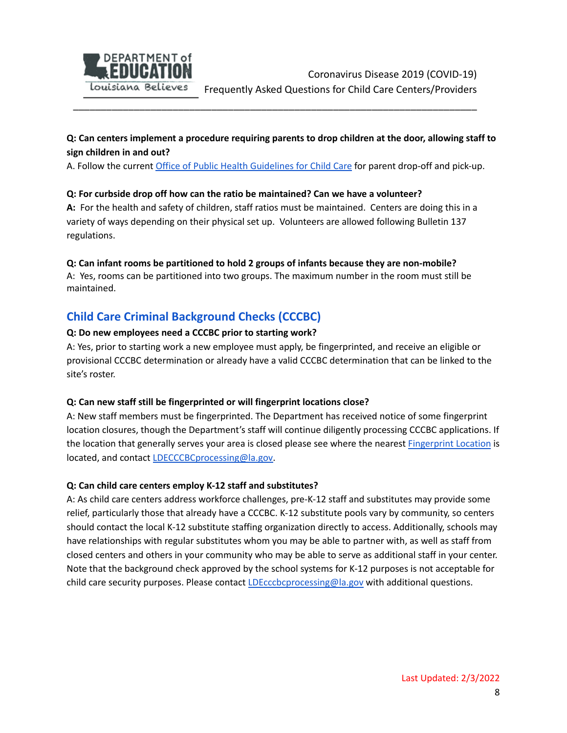

# **Q: Can centers implement a procedure requiring parents to drop children at the door, allowing staff to sign children in and out?**

A. Follow the current Office of Public Health [Guidelines](https://www.louisianabelieves.com/docs/default-source/covid-19-resources/child-care-covid-19-guidelines.pdf) for Child Care for parent drop-off and pick-up.

\_\_\_\_\_\_\_\_\_\_\_\_\_\_\_\_\_\_\_\_\_\_\_\_\_\_\_\_\_\_\_\_\_\_\_\_\_\_\_\_\_\_\_\_\_\_\_\_\_\_\_\_\_\_\_\_\_\_\_\_\_\_\_\_\_\_\_\_\_\_\_\_\_

#### **Q: For curbside drop off how can the ratio be maintained? Can we have a volunteer?**

**A:** For the health and safety of children, staff ratios must be maintained. Centers are doing this in a variety of ways depending on their physical set up. Volunteers are allowed following Bulletin 137 regulations.

#### **Q: Can infant rooms be partitioned to hold 2 groups of infants because they are non-mobile?**

A: Yes, rooms can be partitioned into two groups. The maximum number in the room must still be maintained.

# <span id="page-7-0"></span>**Child Care Criminal Background Checks (CCCBC)**

#### **Q: Do new employees need a CCCBC prior to starting work?**

A: Yes, prior to starting work a new employee must apply, be fingerprinted, and receive an eligible or provisional CCCBC determination or already have a valid CCCBC determination that can be linked to the site's roster.

#### **Q: Can new staff still be fingerprinted or will fingerprint locations close?**

A: New staff members must be fingerprinted. The Department has received notice of some fingerprint location closures, though the Department's staff will continue diligently processing CCCBC applications. If the location that generally serves your area is closed please see where the nearest [Fingerprint](https://www.louisianabelieves.com/docs/default-source/early-childhood/fingerprint-locations-for-child-care-cbcs.pdf?sfvrsn=2) Location is located, and contact [LDECCCBCprocessing@la.gov.](mailto:LDECCCBCprocessing@la.gov)

#### **Q: Can child care centers employ K-12 staff and substitutes?**

A: As child care centers address workforce challenges, pre-K-12 staff and substitutes may provide some relief, particularly those that already have a CCCBC. K-12 substitute pools vary by community, so centers should contact the local K-12 substitute staffing organization directly to access. Additionally, schools may have relationships with regular substitutes whom you may be able to partner with, as well as staff from closed centers and others in your community who may be able to serve as additional staff in your center. Note that the background check approved by the school systems for K-12 purposes is not acceptable for child care security purposes. Please contact *[LDEcccbcprocessing@la.gov](mailto:LDEcccbcprocessing@la.gov)* with additional questions.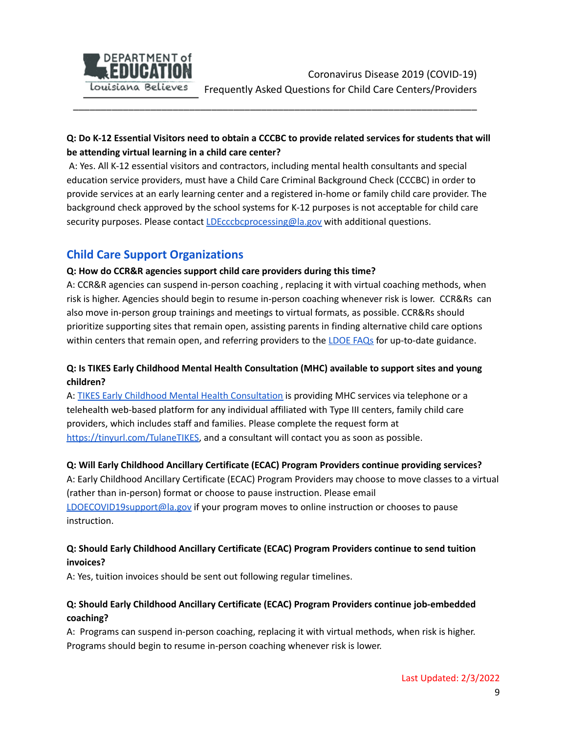

# Q: Do K-12 Essential Visitors need to obtain a CCCBC to provide related services for students that will **be attending virtual learning in a child care center?**

\_\_\_\_\_\_\_\_\_\_\_\_\_\_\_\_\_\_\_\_\_\_\_\_\_\_\_\_\_\_\_\_\_\_\_\_\_\_\_\_\_\_\_\_\_\_\_\_\_\_\_\_\_\_\_\_\_\_\_\_\_\_\_\_\_\_\_\_\_\_\_\_\_

A: Yes. All K-12 essential visitors and contractors, including mental health consultants and special education service providers, must have a Child Care Criminal Background Check (CCCBC) in order to provide services at an early learning center and a registered in-home or family child care provider. The background check approved by the school systems for K-12 purposes is not acceptable for child care security purposes. Please contact [LDEcccbcprocessing@la.gov](mailto:LDEcccbcprocessing@la.gov) with additional questions.

# **Child Care Support Organizations**

### **Q: How do CCR&R agencies support child care providers during this time?**

A: CCR&R agencies can suspend in-person coaching , replacing it with virtual coaching methods, when risk is higher. Agencies should begin to resume in-person coaching whenever risk is lower. CCR&Rs can also move in-person group trainings and meetings to virtual formats, as possible. CCR&Rs should prioritize supporting sites that remain open, assisting parents in finding alternative child care options within centers that remain open, and referring providers to the [LDOE](https://www.louisianabelieves.com/docs/default-source/louisiana-believes/covid-19-faq_-child-care-centers_providers.pdf?sfvrsn=61d19b1f_4) FAQs for up-to-date guidance.

# **Q: Is TIKES Early Childhood Mental Health Consultation (MHC) available to support sites and young children?**

A: TIKES Early Childhood Mental Health [Consultation](https://www.louisianabelieves.com/docs/default-source/early-childhood/tulane-early-childhood-mental-health-consultation-program.pdf?sfvrsn=4457951f_4) is providing MHC services via telephone or a telehealth web-based platform for any individual affiliated with Type III centers, family child care providers, which includes staff and families. Please complete the request form at [https://tinyurl.com/TulaneTIKES,](https://tinyurl.com/TulaneTIKES) and a consultant will contact you as soon as possible.

### **Q: Will Early Childhood Ancillary Certificate (ECAC) Program Providers continue providing services?**

A: Early Childhood Ancillary Certificate (ECAC) Program Providers may choose to move classes to a virtual (rather than in-person) format or choose to pause instruction. Please email [LDOECOVID19support@la.gov](mailto:LDOECOVID19support@la.gov) if your program moves to online instruction or chooses to pause instruction.

### **Q: Should Early Childhood Ancillary Certificate (ECAC) Program Providers continue to send tuition invoices?**

A: Yes, tuition invoices should be sent out following regular timelines.

# **Q: Should Early Childhood Ancillary Certificate (ECAC) Program Providers continue job-embedded coaching?**

A: Programs can suspend in-person coaching, replacing it with virtual methods, when risk is higher. Programs should begin to resume in-person coaching whenever risk is lower.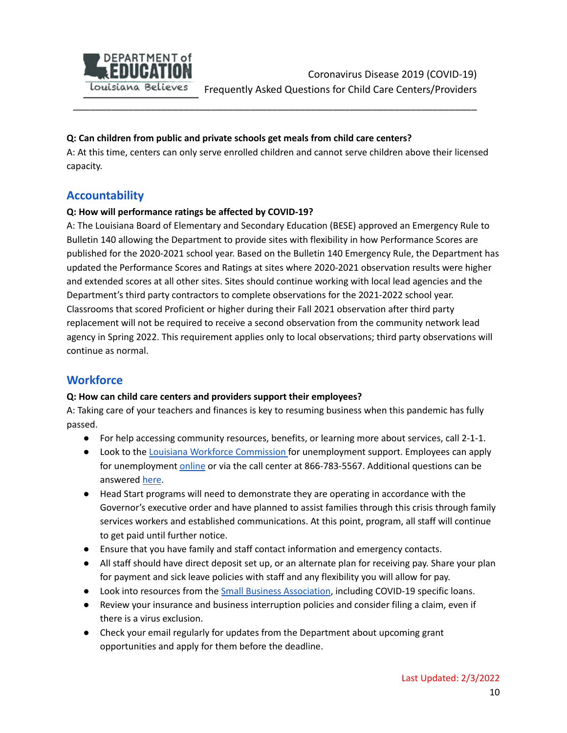

#### **Q: Can children from public and private schools get meals from child care centers?**

A: At this time, centers can only serve enrolled children and cannot serve children above their licensed capacity.

\_\_\_\_\_\_\_\_\_\_\_\_\_\_\_\_\_\_\_\_\_\_\_\_\_\_\_\_\_\_\_\_\_\_\_\_\_\_\_\_\_\_\_\_\_\_\_\_\_\_\_\_\_\_\_\_\_\_\_\_\_\_\_\_\_\_\_\_\_\_\_\_\_

# <span id="page-9-0"></span>**Accountability**

### **Q: How will performance ratings be affected by COVID-19?**

A: The Louisiana Board of Elementary and Secondary Education (BESE) approved an Emergency Rule to Bulletin 140 allowing the Department to provide sites with flexibility in how Performance Scores are published for the 2020-2021 school year. Based on the Bulletin 140 Emergency Rule, the Department has updated the Performance Scores and Ratings at sites where 2020-2021 observation results were higher and extended scores at all other sites. Sites should continue working with local lead agencies and the Department's third party contractors to complete observations for the 2021-2022 school year. Classrooms that scored Proficient or higher during their Fall 2021 observation after third party replacement will not be required to receive a second observation from the community network lead agency in Spring 2022. This requirement applies only to local observations; third party observations will continue as normal.

# **Workforce**

#### **Q: How can child care centers and providers support their employees?**

A: Taking care of your teachers and finances is key to resuming business when this pandemic has fully passed.

- For help accessing community resources, benefits, or learning more about services, call 2-1-1.
- Look to the Louisiana Workforce [Commission](http://www.laworks.net/PublicRelations/COVID_19_Information.asp) for unemployment support. Employees can apply for unemployment [online](https://www.louisianaworks.net/hire/vosnet/Default.aspx) or via the call center at 866-783-5567. Additional questions can be answered [here.](http://www.laworks.net/FAQs/FAQ_UI_ClaimantBenefits.asp#answer_3)
- Head Start programs will need to demonstrate they are operating in accordance with the Governor's executive order and have planned to assist families through this crisis through family services workers and established communications. At this point, program, all staff will continue to get paid until further notice.
- Ensure that you have family and staff contact information and emergency contacts.
- All staff should have direct deposit set up, or an alternate plan for receiving pay. Share your plan for payment and sick leave policies with staff and any flexibility you will allow for pay.
- Look into resources from the Small Business [Association](https://www.sba.gov/page/guidance-businesses-employers-plan-respond-coronavirus-disease-2019-covid-19), including COVID-19 specific loans.
- Review your insurance and business interruption policies and consider filing a claim, even if there is a virus exclusion.
- Check your email regularly for updates from the Department about upcoming grant opportunities and apply for them before the deadline.